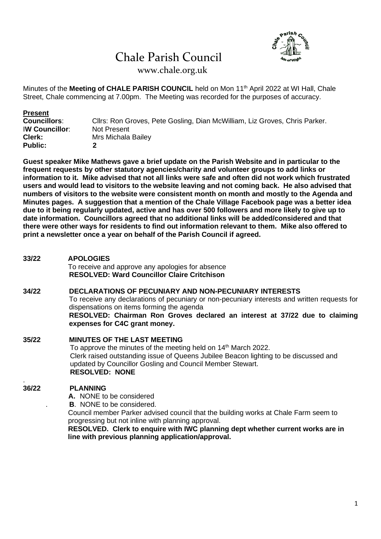# Chale Parish Council



www.chale.org.uk

Minutes of the Meeting of CHALE PARISH COUNCIL held on Mon 11<sup>th</sup> April 2022 at WI Hall, Chale Street, Chale commencing at 7.00pm. The Meeting was recorded for the purposes of accuracy.

### **Present**

| <b>Councillors:</b>   | Clirs: Ron Groves, Pete Gosling, Dian McWilliam, Liz Groves, Chris Parker. |
|-----------------------|----------------------------------------------------------------------------|
| <b>IW Councillor:</b> | Not Present                                                                |
| <b>Clerk:</b>         | Mrs Michala Bailey                                                         |
| <b>Public:</b>        |                                                                            |

**Guest speaker Mike Mathews gave a brief update on the Parish Website and in particular to the frequent requests by other statutory agencies/charity and volunteer groups to add links or information to it. Mike advised that not all links were safe and often did not work which frustrated users and would lead to visitors to the website leaving and not coming back. He also advised that numbers of visitors to the website were consistent month on month and mostly to the Agenda and Minutes pages. A suggestion that a mention of the Chale Village Facebook page was a better idea due to it being regularly updated, active and has over 500 followers and more likely to give up to date information. Councillors agreed that no additional links will be added/considered and that there were other ways for residents to find out information relevant to them. Mike also offered to print a newsletter once a year on behalf of the Parish Council if agreed.** 

**33/22 APOLOGIES** To receive and approve any apologies for absence **RESOLVED: Ward Councillor Claire Critchison 34/22 DECLARATIONS OF PECUNIARY AND NON-PECUNIARY INTERESTS** To receive any declarations of pecuniary or non-pecuniary interests and written requests for dispensations on items forming the agenda **RESOLVED: Chairman Ron Groves declared an interest at 37/22 due to claiming expenses for C4C grant money. 35/22 MINUTES OF THE LAST MEETING** To approve the minutes of the meeting held on 14<sup>th</sup> March 2022. Clerk raised outstanding issue of Queens Jubilee Beacon lighting to be discussed and updated by Councillor Gosling and Council Member Stewart. **RESOLVED: NONE** . **36/22 PLANNING A.** NONE to be considered

. **B**. NONE to be considered.

 Council member Parker advised council that the building works at Chale Farm seem to progressing but not inline with planning approval.

 **RESOLVED. Clerk to enquire with IWC planning dept whether current works are in line with previous planning application/approval.**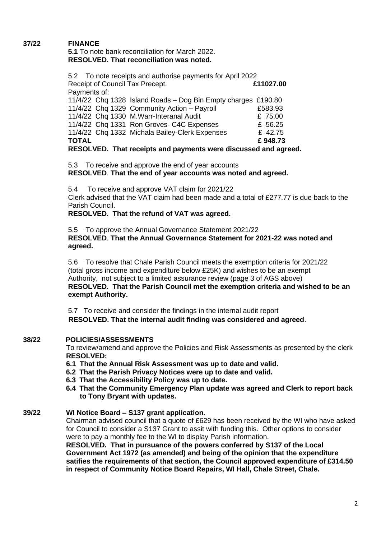# **37/22 FINANCE**

 **5.1** To note bank reconciliation for March 2022. **RESOLVED. That reconciliation was noted.**

5.2 To note receipts and authorise payments for April 2022 Receipt of Council Tax Precept. **£11027.00** Payments of: 11/4/22 Chq 1328 Island Roads – Dog Bin Empty charges £190.80 11/4/22 Chq 1329 Community Action – Payroll £583.93 11/4/22 Chq 1330 M.Warr-Interanal Audit £ 75.00 11/4/22 Chq 1331 Ron Groves- C4C Expenses E 56.25 11/4/22 Chq 1332 Michala Bailey-Clerk Expenses £ 42.75 **TOTAL £ 948.73**

 **RESOLVED. That receipts and payments were discussed and agreed.**

5.3 To receive and approve the end of year accounts

**RESOLVED**. **That the end of year accounts was noted and agreed.**

 5.4 To receive and approve VAT claim for 2021/22 Clerk advised that the VAT claim had been made and a total of £277.77 is due back to the Parish Council.

**RESOLVED. That the refund of VAT was agreed.**

 5.5 To approve the Annual Governance Statement 2021/22  **RESOLVED**. **That the Annual Governance Statement for 2021-22 was noted and agreed.**

 5.6 To resolve that Chale Parish Council meets the exemption criteria for 2021/22 (total gross income and expenditure below £25K) and wishes to be an exempt Authority, not subject to a limited assurance review (page 3 of AGS above) **RESOLVED. That the Parish Council met the exemption criteria and wished to be an exempt Authority.**

 5.7 To receive and consider the findings in the internal audit report **RESOLVED. That the internal audit finding was considered and agreed**.

# **38/22 POLICIES/ASSESSMENTS**

To review/amend and approve the Policies and Risk Assessments as presented by the clerk **RESOLVED:**

- **6.1 That the Annual Risk Assessment was up to date and valid.**
- **6.2 That the Parish Privacy Notices were up to date and valid.**
- **6.3 That the Accessibility Policy was up to date.**
- **6.4 That the Community Emergency Plan update was agreed and Clerk to report back to Tony Bryant with updates.**

# **39/22 WI Notice Board – S137 grant application.**

Chairman advised council that a quote of £629 has been received by the WI who have asked for Council to consider a S137 Grant to assit with funding this. Other options to consider were to pay a monthly fee to the WI to display Parish information.

 **RESOLVED. That in pursuance of the powers conferred by S137 of the Local Government Act 1972 (as amended) and being of the opinion that the expenditure satifies the requirements of that section, the Council approved expenditure of £314.50 in respect of Community Notice Board Repairs, WI Hall, Chale Street, Chale.**